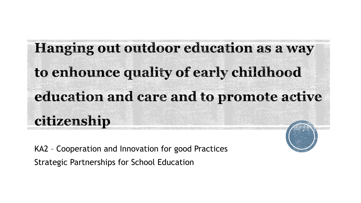# Hanging out outdoor education as a way to enhounce quality of early childhood education and care and to promote active citizenship

KA2 – Cooperation and Innovation for good Practices Strategic Partnerships for School Education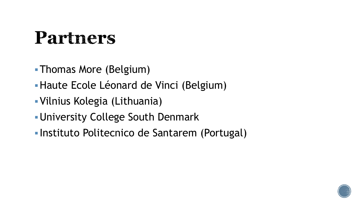#### Partners

- Thomas More (Belgium)
- Haute Ecole Léonard de Vinci (Belgium)
- Vilnius Kolegia (Lithuania)
- University College South Denmark
- **Instituto Politecnico de Santarem (Portugal)**

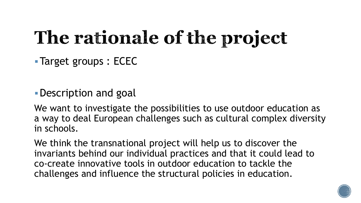### The rationale of the project

**Target groups: ECEC** 

Description and goal

We want to investigate the possibilities to use outdoor education as a way to deal European challenges such as cultural complex diversity in schools.

We think the transnational project will help us to discover the invariants behind our individual practices and that it could lead to co-create innovative tools in outdoor education to tackle the challenges and influence the structural policies in education.

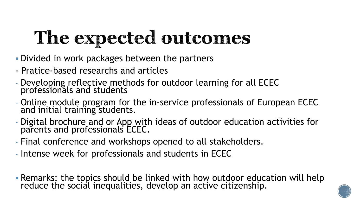## The expected outcomes

- Divided in work packages between the partners
- Pratice-based researchs and articles
- Developing reflective methods for outdoor learning for all ECEC professionals and students
- Online module program for the in-service professionals of European ECEC and initial training students.
- Digital brochure and or App with ideas of outdoor education activities for parents and professionals ECEC.
- Final conference and workshops opened to all stakeholders.
- Intense week for professionals and students in ECEC
- **Remarks: the topics should be linked with how outdoor education will help** reduce the social inequalities, develop an active citizenship.